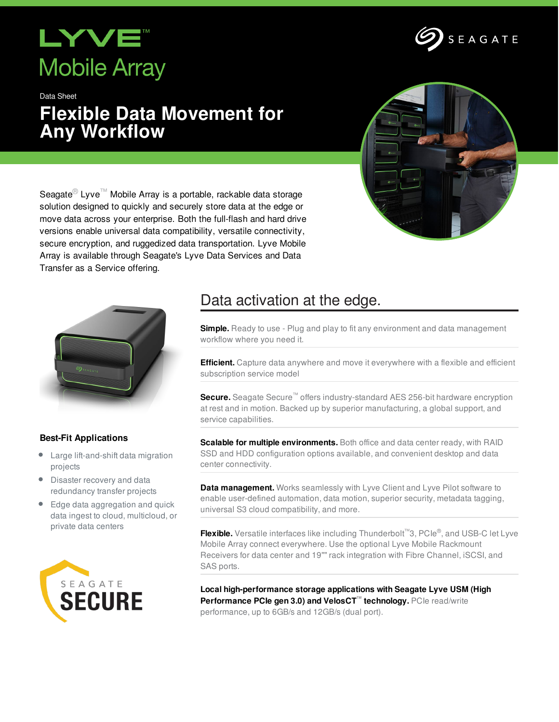## **XVE Mobile Array**

Data Sheet

## **Flexible Data Movement for Any Workflow**



Seagate<sup>®</sup> Lyve<sup>™</sup> Mobile Array is a portable, rackable data storage solution designed to quickly and securely store data at the edge or move data across your enterprise. Both the full-flash and hard drive versions enable universal data compatibility, versatile connectivity, secure encryption, and ruggedized data transportation. Lyve Mobile Array is available through Seagate's Lyve Data Services and Data Transfer as a Service offering.



### **Best-Fit Applications**

- Large lift-and-shift data migration projects
- Disaster recovery and data redundancy transfer projects
- Edge data aggregation and quick data ingest to cloud, multicloud, or private data centers



### Data activation at the edge.

**Simple.** Ready to use - Plug and play to fit any environment and data management workflow where you need it.

**Efficient.** Capture data anywhere and move it everywhere with a flexible and efficient subscription service model

**Secure.** Seagate Secure™ offers industry-standard AES 256-bit hardware encryption at rest and in motion. Backed up by superior manufacturing, a global support, and service capabilities.

**Scalable for multiple environments.** Both office and data center ready, with RAID SSD and HDD configuration options available, and convenient desktop and data center connectivity.

**Data management.** Works seamlessly with Lyve Client and Lyve Pilot software to enable user-defined automation, data motion, superior security, metadata tagging, universal S3 cloud compatibility, and more.

**Flexible.** Versatile interfaces like including Thunderbolt<sup>™</sup>3, PCIe®, and USB-C let Lyve Mobile Array connect everywhere. Use the optional Lyve Mobile Rackmount Receivers for data center and 19"" rack integration with Fibre Channel, iSCSI, and SAS ports.

**Local high-performance storage applications with Seagate Lyve USM (High Performance PCIe gen 3.0) and VelosCT™ technology.** PCIe read/write performance, up to 6GB/s and 12GB/s (dual port).

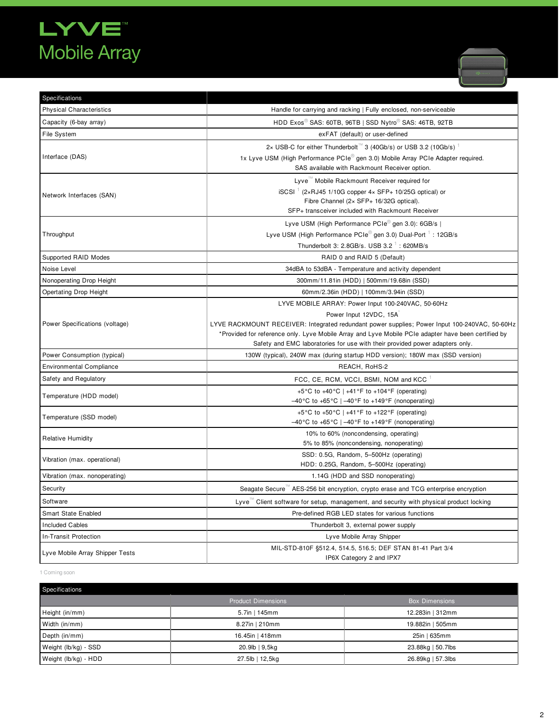# LYVE<sup>"</sup><br>Mobile Array



| Specifications                  |                                                                                                                                                                                                                                                                                                                                                                      |
|---------------------------------|----------------------------------------------------------------------------------------------------------------------------------------------------------------------------------------------------------------------------------------------------------------------------------------------------------------------------------------------------------------------|
| <b>Physical Characteristics</b> | Handle for carrying and racking   Fully enclosed, non-serviceable                                                                                                                                                                                                                                                                                                    |
| Capacity (6-bay array)          | HDD Exos <sup>®</sup> SAS: 60TB, 96TB   SSD Nytro <sup>®</sup> SAS: 46TB, 92TB                                                                                                                                                                                                                                                                                       |
| File System                     | exFAT (default) or user-defined                                                                                                                                                                                                                                                                                                                                      |
| Interface (DAS)                 | 2× USB-C for either Thunderbolt <sup>™</sup> 3 (40Gb/s) or USB 3.2 (10Gb/s) <sup>1</sup><br>1x Lyve USM (High Performance PCIe <sup>®</sup> gen 3.0) Mobile Array PCIe Adapter required.<br>SAS available with Rackmount Receiver option.                                                                                                                            |
| Network Interfaces (SAN)        | Lyve <sup>"</sup> Mobile Rackmount Receiver required for<br>$\text{SCSI}^{-1}$ (2×RJ45 1/10G copper 4× SFP+ 10/25G optical) or<br>Fibre Channel (2x SFP+ 16/32G optical).<br>SFP+ transceiver included with Rackmount Receiver                                                                                                                                       |
| Throughput                      | Lyve USM (High Performance PCIe <sup>®</sup> gen 3.0): 6GB/s  <br>Lyve USM (High Performance PCIe <sup>®</sup> gen 3.0) Dual-Port <sup>1</sup> : 12GB/s<br>Thunderbolt 3: 2.8GB/s. USB 3.2 $^1$ : 620MB/s                                                                                                                                                            |
| Supported RAID Modes            | RAID 0 and RAID 5 (Default)                                                                                                                                                                                                                                                                                                                                          |
| Noise Level                     | 34dBA to 53dBA - Temperature and activity dependent                                                                                                                                                                                                                                                                                                                  |
| Nonoperating Drop Height        | 300mm/11.81in (HDD)   500mm/19.68in (SSD)                                                                                                                                                                                                                                                                                                                            |
| <b>Opertating Drop Height</b>   | 60mm/2.36in (HDD)   100mm/3.94in (SSD)                                                                                                                                                                                                                                                                                                                               |
| Power Specifications (voltage)  | LYVE MOBILE ARRAY: Power Input 100-240VAC, 50-60Hz<br>Power Input 12VDC, 15A<br>LYVE RACKMOUNT RECEIVER: Integrated redundant power supplies; Power Input 100-240VAC, 50-60Hz<br>*Provided for reference only. Lyve Mobile Array and Lyve Mobile PCIe adapter have been certified by<br>Safety and EMC laboratories for use with their provided power adapters only. |
| Power Consumption (typical)     | 130W (typical), 240W max (during startup HDD version); 180W max (SSD version)                                                                                                                                                                                                                                                                                        |
| <b>Environmental Compliance</b> | REACH, RoHS-2                                                                                                                                                                                                                                                                                                                                                        |
| Safety and Regulatory           | FCC, CE, RCM, VCCI, BSMI, NOM and KCC                                                                                                                                                                                                                                                                                                                                |
| Temperature (HDD model)         | +5°C to +40°C   +41°F to +104°F (operating)<br>$-40\degree$ C to +65 $\degree$ C   $-40\degree$ F to +149 $\degree$ F (nonoperating)                                                                                                                                                                                                                                 |
| Temperature (SSD model)         | +5°C to +50°C   +41°F to +122°F (operating)<br>$-40\degree$ C to +65 $\degree$ C   $-40\degree$ F to +149 $\degree$ F (nonoperating)                                                                                                                                                                                                                                 |
| <b>Relative Humidity</b>        | 10% to 60% (noncondensing, operating)<br>5% to 85% (noncondensing, nonoperating)                                                                                                                                                                                                                                                                                     |
| Vibration (max. operational)    | SSD: 0.5G, Random, 5-500Hz (operating)<br>HDD: 0.25G, Random, 5-500Hz (operating)                                                                                                                                                                                                                                                                                    |
| Vibration (max. nonoperating)   | 1.14G (HDD and SSD nonoperating)                                                                                                                                                                                                                                                                                                                                     |
| Security                        | Seagate Secure <sup>16</sup> AES-256 bit encryption, crypto erase and TCG enterprise encryption                                                                                                                                                                                                                                                                      |
| Software                        | Lyve <sup>16</sup> Client software for setup, management, and security with physical product locking                                                                                                                                                                                                                                                                 |
| Smart State Enabled             | Pre-defined RGB LED states for various functions                                                                                                                                                                                                                                                                                                                     |
| <b>Included Cables</b>          | Thunderbolt 3, external power supply                                                                                                                                                                                                                                                                                                                                 |
| In-Transit Protection           | Lyve Mobile Array Shipper                                                                                                                                                                                                                                                                                                                                            |
| Lyve Mobile Array Shipper Tests | MIL-STD-810F §512.4, 514.5, 516.5; DEF STAN 81-41 Part 3/4<br>IP6X Category 2 and IPX7                                                                                                                                                                                                                                                                               |

1 Coming soon

| Specifications       |                           |                       |
|----------------------|---------------------------|-----------------------|
|                      | <b>Product Dimensions</b> | <b>Box Dimensions</b> |
| Height (in/mm)       | 5.7in   145mm             | 12.283in   312mm      |
| Width (in/mm)        | 8.27in   210mm            | 19.882in   505mm      |
| Depth (in/mm)        | 16.45in   418mm           | 25in   635mm          |
| Weight (lb/kg) - SSD | 20.9lb   9,5kg            | 23.88kg   50.7lbs     |
| Weight (lb/kg) - HDD | 27.5lb   12,5kg           | 26.89kg   57.3lbs     |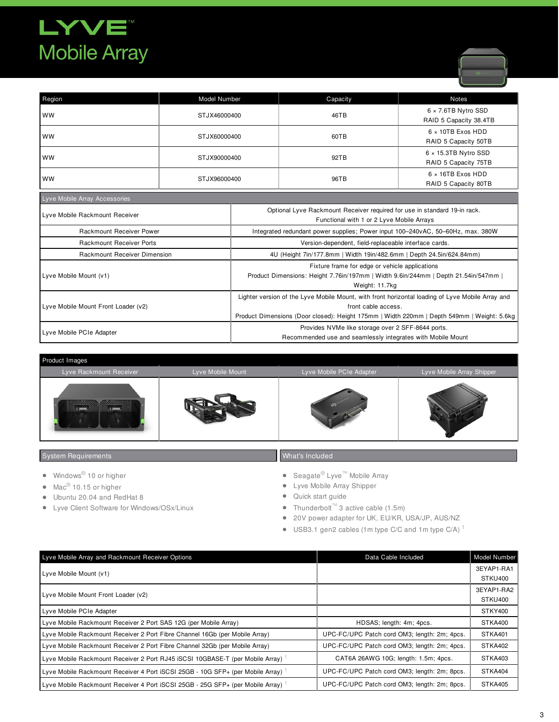## LYVE" **Mobile Array**



| Region                                                                                                                                       | Model Number |                                                                                                                        | Capacity                                                                                                                                                                                                              | <b>Notes</b>                                         |
|----------------------------------------------------------------------------------------------------------------------------------------------|--------------|------------------------------------------------------------------------------------------------------------------------|-----------------------------------------------------------------------------------------------------------------------------------------------------------------------------------------------------------------------|------------------------------------------------------|
| <b>WW</b>                                                                                                                                    | STJX46000400 |                                                                                                                        | 46TB                                                                                                                                                                                                                  | 6 x 7.6TB Nytro SSD<br>RAID 5 Capacity 38.4TB        |
| <b>WW</b>                                                                                                                                    | STJX60000400 |                                                                                                                        | 60TB                                                                                                                                                                                                                  | $6 \times 10$ TB Exos HDD<br>RAID 5 Capacity 50TB    |
| <b>WW</b>                                                                                                                                    | STJX90000400 |                                                                                                                        | 92TB                                                                                                                                                                                                                  | $6 \times 15.3$ TB Nytro SSD<br>RAID 5 Capacity 75TB |
| <b>WW</b>                                                                                                                                    | STJX96000400 |                                                                                                                        | 96TB                                                                                                                                                                                                                  | $6 \times 16$ TB Exos HDD<br>RAID 5 Capacity 80TB    |
| Lyve Mobile Array Accessories                                                                                                                |              |                                                                                                                        |                                                                                                                                                                                                                       |                                                      |
| Lyve Mobile Rackmount Receiver                                                                                                               |              | Optional Lyve Rackmount Receiver required for use in standard 19-in rack.<br>Functional with 1 or 2 Lyve Mobile Arrays |                                                                                                                                                                                                                       |                                                      |
| <b>Rackmount Receiver Power</b>                                                                                                              |              | Integrated redundant power supplies; Power input 100-240vAC, 50-60Hz, max. 380W                                        |                                                                                                                                                                                                                       |                                                      |
| <b>Rackmount Receiver Ports</b>                                                                                                              |              | Version-dependent, field-replaceable interface cards.                                                                  |                                                                                                                                                                                                                       |                                                      |
| <b>Rackmount Receiver Dimension</b>                                                                                                          |              | 4U (Height 7in/177.8mm   Width 19in/482.6mm   Depth 24.5in/624.84mm)                                                   |                                                                                                                                                                                                                       |                                                      |
| Lyve Mobile Mount (v1)                                                                                                                       |              |                                                                                                                        | Fixture frame for edge or vehicle applications<br>Product Dimensions: Height 7.76in/197mm   Width 9.6in/244mm   Depth 21.54in/547mm  <br>Weight: 11.7kg                                                               |                                                      |
| Lyve Mobile Mount Front Loader (v2)                                                                                                          |              |                                                                                                                        | Lighter version of the Lyve Mobile Mount, with front horizontal loading of Lyve Mobile Array and<br>front cable access.<br>Product Dimensions (Door closed): Height 175mm   Width 220mm   Depth 549mm   Weight: 5.6kg |                                                      |
| Provides NVMe like storage over 2 SFF-8644 ports.<br>Lyve Mobile PCIe Adapter<br>Recommended use and seamlessly integrates with Mobile Mount |              |                                                                                                                        |                                                                                                                                                                                                                       |                                                      |

| <b>Product Images</b>                                 |                   |                          |                           |
|-------------------------------------------------------|-------------------|--------------------------|---------------------------|
| Lyve Rackmount Receiver                               | Lyve Mobile Mount | Lyve Mobile PCIe Adapter | Lyve Mobile Array Shipper |
| 66666666666<br>8888888888<br><b><i>CONTRACTOR</i></b> |                   | ത                        |                           |

### System Requirements

- Windows ® 10 or higher
- Mac<sup>®</sup> 10.15 or higher
- Ubuntu 20.04 and RedHat 8
- Lyve Client Software for Windows/OSx/Linux
- What's Included
- Seagate ® Lyve™ Mobile Array
- Lyve Mobile Array Shipper
- Quick start guide
- Thunderbolt™ 3 active cable (1.5m)
- 20V power adapter for UK, EU/KR, USA/JP, AUS/NZ
- USB3.1 gen2 cables (1m type C/C and 1m type C/A)<sup>1</sup>

| Lyve Mobile Array and Rackmount Receiver Options                               | Data Cable Included                          | Model Number |
|--------------------------------------------------------------------------------|----------------------------------------------|--------------|
| Lyve Mobile Mount (v1)                                                         |                                              | 3EYAP1-RA1   |
|                                                                                |                                              | STKU400      |
| Lyve Mobile Mount Front Loader (v2)                                            |                                              | 3EYAP1-RA2   |
|                                                                                |                                              | STKU400      |
| Lyve Mobile PCIe Adapter                                                       |                                              | STKY400      |
| Lyve Mobile Rackmount Receiver 2 Port SAS 12G (per Mobile Array)               | HDSAS; length: 4m; 4pcs.                     | STKA400      |
| Lyve Mobile Rackmount Receiver 2 Port Fibre Channel 16Gb (per Mobile Array)    | UPC-FC/UPC Patch cord OM3; length: 2m; 4pcs. | STKA401      |
| Lyve Mobile Rackmount Receiver 2 Port Fibre Channel 32Gb (per Mobile Array)    | UPC-FC/UPC Patch cord OM3; length: 2m; 4pcs. | STKA402      |
| Lyve Mobile Rackmount Receiver 2 Port RJ45 iSCSI 10GBASE-T (per Mobile Array)  | CAT6A 26AWG 10G; length: 1.5m; 4pcs.         | STKA403      |
| Lyve Mobile Rackmount Receiver 4 Port iSCSI 25GB - 10G SFP+ (per Mobile Array) | UPC-FC/UPC Patch cord OM3; length: 2m; 8pcs. | STKA404      |
| Lyve Mobile Rackmount Receiver 4 Port iSCSI 25GB - 25G SFP+ (per Mobile Array) | UPC-FC/UPC Patch cord OM3; length: 2m; 8pcs. | STKA405      |